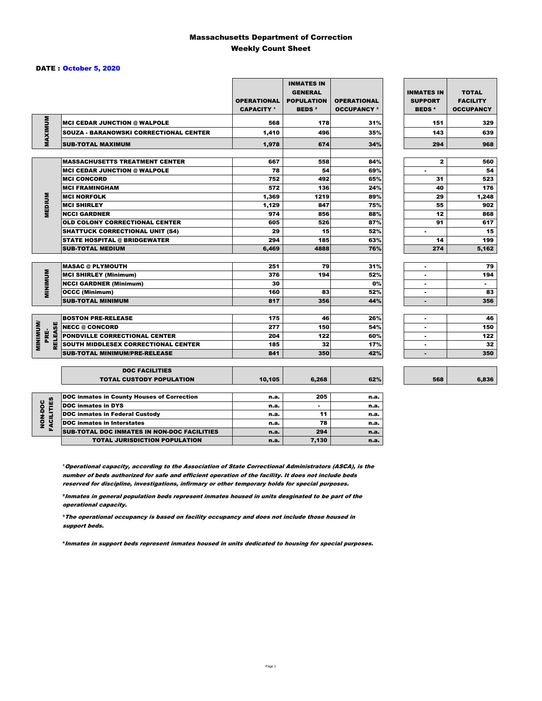### Massachusetts Department of Correction Weekly Count Sheet

### DATE : October 5, 2020

|                                   |                                                   | <b>OPERATIONAL</b><br><b>CAPACITY</b> <sup>1</sup> | <b>INMATES IN</b><br><b>GENERAL</b><br><b>POPULATION</b><br><b>BEDS<sup>2</sup></b> | <b>OPERATIONAL</b><br><b>OCCUPANCY 3</b> | <b>INMATES IN</b><br><b>SUPPORT</b><br><b>BEDS<sup>4</sup></b> | <b>TOTAL</b><br><b>FACILITY</b><br><b>OCCUPANCY</b> |
|-----------------------------------|---------------------------------------------------|----------------------------------------------------|-------------------------------------------------------------------------------------|------------------------------------------|----------------------------------------------------------------|-----------------------------------------------------|
|                                   | <b>MCI CEDAR JUNCTION @ WALPOLE</b>               | 568                                                | 178                                                                                 | 31%                                      | 151                                                            | 329                                                 |
|                                   | SOUZA - BARANOWSKI CORRECTIONAL CENTER            | 1,410                                              | 496                                                                                 | 35%                                      | 143                                                            | 639                                                 |
| MAXIMUM                           | <b>SUB-TOTAL MAXIMUM</b>                          | 1,978                                              | 674                                                                                 | 34%                                      | 294                                                            | 968                                                 |
|                                   |                                                   |                                                    |                                                                                     |                                          |                                                                |                                                     |
|                                   | <b>MASSACHUSETTS TREATMENT CENTER</b>             | 667                                                | 558                                                                                 | 84%                                      | $\mathbf{z}$                                                   | 560                                                 |
|                                   | <b>MCI CEDAR JUNCTION @ WALPOLE</b>               | 78                                                 | 54                                                                                  | 69%                                      | ٠                                                              | 54                                                  |
|                                   | <b>MCI CONCORD</b>                                | 752                                                | 492                                                                                 | 65%                                      | 31                                                             | 523                                                 |
|                                   | <b>MCI FRAMINGHAM</b>                             | 572                                                | 136                                                                                 | 24%                                      | 40                                                             | 176                                                 |
|                                   | <b>MCI NORFOLK</b>                                | 1,369                                              | 1219                                                                                | 89%                                      | 29                                                             | 1,248                                               |
| <b>MEDIUM</b>                     | <b>MCI SHIRLEY</b>                                | 1,129                                              | 847                                                                                 | 75%                                      | 55                                                             | 902                                                 |
|                                   | <b>NCCI GARDNER</b>                               | 974                                                | 856                                                                                 | 88%                                      | 12                                                             | 868                                                 |
|                                   | <b>OLD COLONY CORRECTIONAL CENTER</b>             | 605                                                | 526                                                                                 | 87%                                      | 91                                                             | 617                                                 |
|                                   | <b>SHATTUCK CORRECTIONAL UNIT (S4)</b>            | 29                                                 | 15                                                                                  | 52%                                      | ٠                                                              | 15                                                  |
|                                   | <b>STATE HOSPITAL @ BRIDGEWATER</b>               | 294                                                | 185                                                                                 | 63%                                      | 14                                                             | 199                                                 |
|                                   | <b>SUB-TOTAL MEDIUM</b>                           | 6,469                                              | 4888                                                                                | 76%                                      | 274                                                            | 5,162                                               |
|                                   | <b>MASAC @ PLYMOUTH</b>                           | 251                                                | 79                                                                                  | 31%                                      | ٠                                                              | 79                                                  |
|                                   | <b>MCI SHIRLEY (Minimum)</b>                      | 376                                                | 194                                                                                 | 52%                                      | ÷                                                              | 194                                                 |
| <b>MINIMUM</b>                    | <b>NCCI GARDNER (Minimum)</b>                     | 30                                                 |                                                                                     | 0%                                       | ٠                                                              | $\sim$                                              |
|                                   | <b>OCCC (Minimum)</b>                             | 160                                                | 83                                                                                  | 52%                                      |                                                                | 83                                                  |
|                                   | <b>SUB-TOTAL MINIMUM</b>                          | 817                                                | 356                                                                                 | 44%                                      | $\blacksquare$                                                 | 356                                                 |
|                                   |                                                   |                                                    |                                                                                     |                                          |                                                                |                                                     |
|                                   | <b>BOSTON PRE-RELEASE</b>                         | 175                                                | 46                                                                                  | 26%                                      | $\overline{a}$                                                 | 46                                                  |
| <b>MINIMINI</b><br><b>RELEASE</b> | NECC @ CONCORD                                    | 277                                                | 150                                                                                 | 54%                                      |                                                                | 150                                                 |
| PRE-                              | <b>PONDVILLE CORRECTIONAL CENTER</b>              | 204                                                | 122                                                                                 | 60%                                      | ٠                                                              | 122                                                 |
|                                   | SOUTH MIDDLESEX CORRECTIONAL CENTER               | 185                                                | 32                                                                                  | 17%                                      | $\blacksquare$                                                 | 32                                                  |
|                                   | <b>SUB-TOTAL MINIMUM/PRE-RELEASE</b>              | 841                                                | 350                                                                                 | 42%                                      | ٠                                                              | 350                                                 |
|                                   | <b>DOC FACILITIES</b>                             |                                                    |                                                                                     |                                          |                                                                |                                                     |
|                                   | <b>TOTAL CUSTODY POPULATION</b>                   | 10,105                                             | 6,268                                                                               | 62%                                      | 568                                                            | 6,836                                               |
|                                   | <b>DOC inmates in County Houses of Correction</b> | n.a.                                               | 205                                                                                 | n.a.                                     |                                                                |                                                     |
| <b>FACILITIES</b>                 | <b>DOC</b> inmates in DYS                         | n.a.                                               | $\blacksquare$                                                                      | n.a.                                     |                                                                |                                                     |
|                                   | <b>DOC inmates in Federal Custody</b>             | n.a.                                               | 11                                                                                  | n.a.                                     |                                                                |                                                     |
| NON-DOC                           | <b>DOC</b> inmates in Interstates                 | n.a.                                               | 78                                                                                  | n.a.                                     |                                                                |                                                     |
|                                   | CUB TOTAL BOO INIMETED IN NON-BOO FAOILITIED      |                                                    | $\sim$                                                                              |                                          |                                                                |                                                     |

**Operational capacity, according to the Association of State Correctional Administrators (ASCA), is the** number of beds authorized for safe and efficient operation of the facility. It does not include beds reserved for discipline, investigations, infirmary or other temporary holds for special purposes.

SUB-TOTAL DOC INMATES IN NON-DOC FACILITIES n.a. 294 n.a. n.a.

TOTAL JURISDICTION POPULATION **n.a.** 7,130 n.a.

²Inmates in general population beds represent inmates housed in units desginated to be part of the operational capacity.

³The operational occupancy is based on facility occupancy and does not include those housed in support beds.

⁴Inmates in support beds represent inmates housed in units dedicated to housing for special purposes.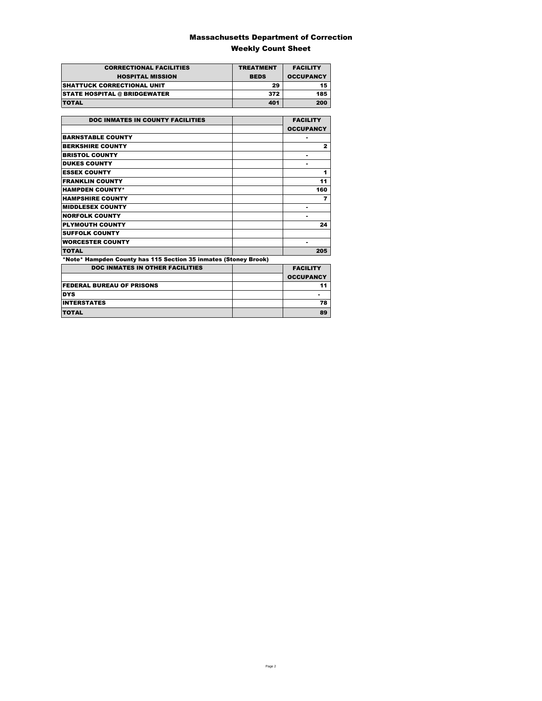### Massachusetts Department of Correction Weekly Count Sheet

| <b>CORRECTIONAL FACILITIES</b>      | <b>TREATMENT</b> | <b>FACILITY</b>  |
|-------------------------------------|------------------|------------------|
| <b>HOSPITAL MISSION</b>             | <b>BEDS</b>      | <b>OCCUPANCY</b> |
| <b>ISHATTUCK CORRECTIONAL UNIT</b>  | 29               | 15               |
| <b>STATE HOSPITAL @ BRIDGEWATER</b> | 372              | 185              |
| <b>TOTAL</b>                        | 401              | 200              |

| <b>DOC INMATES IN COUNTY FACILITIES</b>                         | <b>FACILITY</b>  |
|-----------------------------------------------------------------|------------------|
|                                                                 |                  |
|                                                                 | <b>OCCUPANCY</b> |
| <b>BARNSTABLE COUNTY</b>                                        |                  |
| <b>BERKSHIRE COUNTY</b>                                         | $\mathbf{z}$     |
| <b>BRISTOL COUNTY</b>                                           |                  |
| <b>DUKES COUNTY</b>                                             |                  |
| <b>ESSEX COUNTY</b>                                             | 1                |
| <b>FRANKLIN COUNTY</b>                                          | 11               |
| <b>HAMPDEN COUNTY*</b>                                          | 160              |
| <b>HAMPSHIRE COUNTY</b>                                         | 7                |
| <b>MIDDLESEX COUNTY</b>                                         |                  |
| <b>NORFOLK COUNTY</b>                                           | ۰                |
| <b>PLYMOUTH COUNTY</b>                                          | 24               |
| <b>SUFFOLK COUNTY</b>                                           |                  |
| <b>WORCESTER COUNTY</b>                                         |                  |
| <b>TOTAL</b>                                                    | 205              |
| *Note* Hampden County has 115 Section 35 inmates (Stoney Brook) |                  |
| <b>DOC INMATES IN OTHER FACILITIES</b>                          | <b>FACILITY</b>  |
|                                                                 | <b>OCCUPANCY</b> |
| <b>FEDERAL BUREAU OF PRISONS</b>                                | 11               |
| <b>DYS</b>                                                      |                  |
| <b>INTERSTATES</b>                                              | 78               |
| <b>TOTAL</b>                                                    | 89               |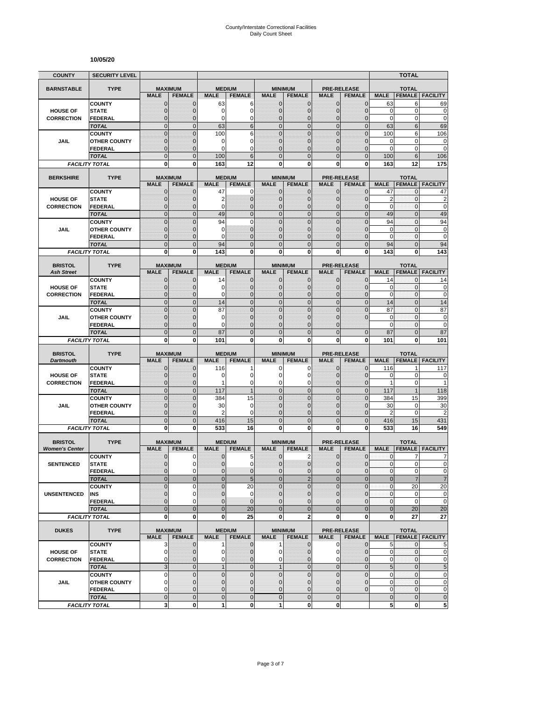#### **10/05/20**

| <b>COUNTY</b>                        | <b>SECURITY LEVEL</b>                 |                                  |                                |                     |                                  |                                  |                                        |                                |                                  |                   | <b>TOTAL</b>        |                                       |
|--------------------------------------|---------------------------------------|----------------------------------|--------------------------------|---------------------|----------------------------------|----------------------------------|----------------------------------------|--------------------------------|----------------------------------|-------------------|---------------------|---------------------------------------|
| <b>BARNSTABLE</b>                    | <b>TYPE</b>                           | <b>MAXIMUM</b>                   |                                | <b>MEDIUM</b>       |                                  |                                  | <b>MINIMUM</b>                         |                                | <b>PRE-RELEASE</b>               |                   | <b>TOTAL</b>        |                                       |
|                                      |                                       | <b>MALE</b>                      | <b>FEMALE</b>                  | <b>MALE</b>         | <b>FEMALE</b>                    | <b>MALE</b>                      | <b>FEMALE</b>                          | <b>MALE</b>                    | <b>FEMALE</b>                    | <b>MALE</b>       | <b>FEMALE</b>       | <b>FACILITY</b>                       |
|                                      | <b>COUNTY</b>                         | $\mathbf 0$                      | $\mathbf{0}$                   | 63                  | 6                                | $\mathbf 0$                      | 0                                      | $\mathbf{0}$                   | $\mathbf{0}$                     | 63                | 6                   | 69                                    |
| <b>HOUSE OF</b>                      | <b>STATE</b>                          | $\overline{0}$                   | $\mathbf 0$                    | 0                   | $\overline{0}$                   | $\mathbf 0$                      | $\overline{0}$                         | $\mathbf{0}$                   | $\overline{0}$                   | $\mathbf 0$       | $\mathbf 0$         | $\mathbf 0$                           |
| <b>CORRECTION</b>                    | FEDERAL                               | $\mathbf 0$                      | $\mathbf 0$                    | 0                   | 0                                | $\mathbf{0}$                     | $\mathbf 0$                            | $\mathbf 0$                    | $\overline{0}$                   | $\mathbf 0$       | 0                   | $\mathbf 0$                           |
|                                      | <b>TOTAL</b><br><b>COUNTY</b>         | $\mathbf 0$<br>$\mathbf 0$       | $\mathbf{0}$<br>$\mathbf{0}$   | 63<br>100           | 6<br>6                           | $\overline{0}$<br>$\overline{0}$ | $\mathbf 0$<br>$\mathbf 0$             | $\mathbf{0}$<br>$\mathbf 0$    | $\mathbf 0$<br>$\overline{0}$    | 63<br>100         | 6<br>6              | 69<br>106                             |
| JAIL                                 | <b>OTHER COUNTY</b>                   | $\mathbf 0$                      | $\mathbf 0$                    | 0                   | 0                                | $\mathbf{0}$                     | $\overline{0}$                         | $\mathbf 0$                    | $\overline{0}$                   | $\mathbf 0$       | $\mathbf 0$         | $\mathbf 0$                           |
|                                      | <b>FEDERAL</b>                        | $\overline{0}$                   | $\mathbf{0}$                   | 0                   | $\Omega$                         | $\Omega$                         | $\mathbf 0$                            | $\Omega$                       | $\overline{0}$                   | $\mathbf 0$       | 0                   | $\mathbf 0$                           |
|                                      | <b>TOTAL</b>                          | $\overline{0}$                   | $\mathbf{0}$                   | 100                 | 6                                | $\Omega$                         | $\overline{0}$                         | $\Omega$                       | $\overline{0}$                   | 100               | 6                   | 106                                   |
|                                      | <b>FACILITY TOTAL</b>                 | 0                                | 0                              | 163                 | 12                               | $\mathbf{0}$                     | 0                                      | 0                              | 0                                | 163               | 12                  | 175                                   |
| <b>BERKSHIRE</b>                     | <b>TYPE</b>                           |                                  | <b>MAXIMUM</b>                 | <b>MEDIUM</b>       |                                  |                                  | <b>MINIMUM</b>                         |                                | <b>PRE-RELEASE</b>               |                   | <b>TOTAL</b>        |                                       |
|                                      |                                       | <b>MALE</b>                      | <b>FEMALE</b>                  | <b>MALE</b>         | <b>FEMALE</b>                    | <b>MALE</b>                      | <b>FEMALE</b>                          | <b>MALE</b>                    | <b>FEMALE</b>                    | <b>MALE</b>       | <b>FEMALE</b>       | <b>FACILITY</b>                       |
|                                      | <b>COUNTY</b>                         | $\mathbf{0}$                     | $\mathbf 0$                    | 47                  | 0                                | $\mathbf{0}$                     | $\mathbf{0}$                           | $\mathbf{0}$                   | $\mathbf 0$                      | 47                | 0                   | 47                                    |
| <b>HOUSE OF</b>                      | <b>STATE</b>                          | 0                                | $\mathbf{0}$                   | 2                   | $\mathbf 0$                      | $\mathbf{0}$                     | $\mathbf 0$                            | $\mathbf{0}$                   | $\mathbf{0}$                     | $\overline{2}$    | 0                   | $\overline{c}$                        |
| <b>CORRECTION</b>                    | <b>FEDERAL</b><br><b>TOTAL</b>        | $\mathbf 0$<br>$\overline{0}$    | $\mathbf 0$<br>$\mathbf{0}$    | 0<br>49             | $\overline{0}$<br>$\overline{0}$ | $\mathbf{0}$<br>$\overline{0}$   | $\overline{0}$<br>$\overline{0}$       | $\mathbf{0}$<br>$\mathbf{0}$   | $\overline{0}$<br>$\overline{0}$ | 0<br>49           | 0<br>$\overline{0}$ | $\mathbf 0$<br>49                     |
|                                      | <b>COUNTY</b>                         | $\overline{0}$                   | $\overline{0}$                 | 94                  | $\overline{0}$                   | $\mathbf 0$                      | $\overline{0}$                         | $\overline{0}$                 | $\overline{0}$                   | 94                | $\mathbf{0}$        | 94                                    |
| <b>JAIL</b>                          | <b>OTHER COUNTY</b>                   | 0                                | $\mathbf{0}$                   | 0                   | $\overline{0}$                   | $\mathbf{0}$                     | $\mathbf 0$                            | $\Omega$                       | $\Omega$                         | $\mathbf 0$       | $\mathbf{0}$        | $\bf{0}$                              |
|                                      | <b>FEDERAL</b>                        | $\mathbf 0$                      | $\mathbf{0}$                   | 0                   | $\overline{0}$                   | $\mathbf{0}$                     | $\overline{0}$                         | $\mathbf 0$                    | $\overline{0}$                   | $\mathbf 0$       | $\mathbf{0}$        | $\mathbf 0$                           |
|                                      | <b>TOTAL</b>                          | $\mathbf 0$                      | $\mathbf{0}$                   | 94                  | $\overline{0}$                   | $\mathbf{0}$                     | $\mathbf 0$                            | $\mathbf{0}$                   | $\mathbf 0$                      | 94                | $\overline{0}$      | 94                                    |
|                                      | <b>FACILITY TOTAL</b>                 | 0                                | $\mathbf{0}$                   | 143                 | 0                                | 0                                | $\bf{0}$                               | 0                              | 0                                | 143               | 0                   | 143                                   |
| <b>BRISTOL</b>                       | <b>TYPE</b>                           | <b>MAXIMUM</b>                   |                                | <b>MEDIUM</b>       |                                  |                                  | <b>MINIMUM</b>                         |                                | <b>PRE-RELEASE</b>               |                   | <b>TOTAL</b>        |                                       |
| <b>Ash Street</b>                    |                                       | <b>MALE</b>                      | <b>FEMALE</b>                  | <b>MALE</b>         | <b>FEMALE</b>                    | <b>MALE</b>                      | <b>FEMALE</b>                          | <b>MALE</b>                    | <b>FEMALE</b>                    | <b>MALE</b>       | <b>FEMALE</b>       | <b>FACILITY</b>                       |
|                                      | <b>COUNTY</b>                         | 0                                | $\mathbf{0}$                   | 14                  | 0                                | $\mathbf 0$                      | 0                                      | $\mathbf{0}$                   | $\mathbf{0}$                     | 14                | 0                   | 14                                    |
| <b>HOUSE OF</b><br><b>CORRECTION</b> | <b>STATE</b><br><b>FEDERAL</b>        | $\mathbf{0}$<br>$\mathbf{0}$     | $\mathbf{0}$<br>$\mathbf{0}$   | 0<br>0              | $\mathbf 0$<br>$\overline{0}$    | $\mathbf{0}$<br>$\mathbf{0}$     | $\mathbf{0}$<br>$\overline{0}$         | $\mathbf{0}$<br>$\mathbf{0}$   | $\mathbf{0}$<br>$\overline{0}$   | 0<br>$\mathbf 0$  | 0<br>0              | 0<br>$\mathbf 0$                      |
|                                      | <b>TOTAL</b>                          | $\overline{0}$                   | $\mathbf{0}$                   | 14                  | $\overline{0}$                   | $\mathbf 0$                      | $\overline{0}$                         | $\mathbf{0}$                   | $\overline{0}$                   | 14                | $\overline{0}$      | 14                                    |
|                                      | <b>COUNTY</b>                         | $\overline{0}$                   | $\Omega$                       | 87                  | $\overline{0}$                   | $\mathbf 0$                      | $\overline{0}$                         | $\overline{0}$                 | $\overline{0}$                   | 87                | $\overline{0}$      | 87                                    |
| JAIL                                 | <b>OTHER COUNTY</b>                   | $\mathbf 0$                      | $\mathbf 0$                    | 0                   | $\overline{0}$                   | $\mathbf{0}$                     | $\overline{0}$                         | $\mathbf 0$                    | $\overline{0}$                   | $\mathbf 0$       | $\mathbf{0}$        | $\mathbf 0$                           |
|                                      | FEDERAL                               | $\overline{0}$                   | $\mathbf{0}$                   | 0                   | $\overline{0}$                   | $\Omega$                         | $\overline{0}$                         | $\Omega$                       |                                  | $\mathbf 0$       | $\mathbf{0}$        | $\mathbf 0$                           |
|                                      | <b>TOTAL</b>                          | $\overline{0}$                   | $\mathbf{0}$                   | 87                  | $\overline{0}$                   | $\overline{0}$                   | $\overline{0}$                         | $\overline{0}$                 | $\overline{0}$                   | 87                | $\overline{0}$      | 87                                    |
|                                      | <b>FACILITY TOTAL</b>                 | 0                                | 0                              | 101                 | 0                                | 0                                | 0                                      | 0                              | 0                                | 101               | 0                   | 101                                   |
|                                      |                                       |                                  |                                |                     |                                  |                                  |                                        |                                |                                  |                   |                     |                                       |
| <b>BRISTOL</b>                       | <b>TYPE</b>                           |                                  | <b>MAXIMUM</b>                 | <b>MEDIUM</b>       |                                  |                                  | <b>MINIMUM</b>                         |                                | <b>PRE-RELEASE</b>               |                   | <b>TOTAL</b>        |                                       |
| <b>Dartmouth</b>                     |                                       | <b>MALE</b>                      | <b>FEMALE</b>                  | <b>MALE</b>         | <b>FEMALE</b>                    | <b>MALE</b>                      | <b>FEMALE</b>                          | <b>MALE</b>                    | <b>FEMALE</b>                    | <b>MALE</b>       | <b>FEMALE</b>       | <b>FACILITY</b>                       |
|                                      | <b>COUNTY</b>                         | $\mathbf 0$                      | $\mathbf 0$                    | 116                 |                                  | 0                                | 0                                      | $\mathbf 0$                    | 0                                | 116               | 1                   | 117                                   |
| <b>HOUSE OF</b><br><b>CORRECTION</b> | <b>STATE</b><br><b>FEDERAL</b>        | $\mathbf 0$<br>$\mathbf 0$       | $\mathbf{0}$<br>$\mathbf{0}$   | 0<br>1              | 0<br>0                           | $\Omega$<br>$\mathbf 0$          | 0<br>0                                 | $\Omega$<br>$\mathbf 0$        | $\mathbf{0}$<br>$\mathbf{0}$     | 0<br>$\mathbf{1}$ | $\pmb{0}$<br>0      | 0<br>1                                |
|                                      | <b>TOTAL</b>                          | $\mathbf 0$                      | $\mathbf{0}$                   | 117                 | $\overline{1}$                   | $\overline{0}$                   | $\mathbf 0$                            | $\mathbf{0}$                   | $\overline{0}$                   | 117               | $\mathbf{1}$        | 118                                   |
|                                      | <b>COUNTY</b>                         | $\mathbf 0$                      | $\mathbf{0}$                   | 384                 | 15                               | $\mathbf 0$                      | $\mathbf 0$                            | $\mathbf{0}$                   | $\mathbf 0$                      | 384               | 15                  | 399                                   |
| JAIL                                 | <b>OTHER COUNTY</b>                   | $\overline{0}$                   | $\mathbf{0}$                   | 30                  | $\mathbf 0$                      | $\mathbf{0}$                     | $\overline{0}$                         | $\mathbf 0$                    | $\overline{0}$                   | 30                | 0                   | 30                                    |
|                                      | FEDERAL                               | $\mathbf 0$                      | $\mathbf{0}$                   | 2                   | 0                                | $\mathbf{0}$                     | 0                                      | $\mathbf{0}$                   | $\mathbf 0$                      | $\overline{2}$    | $\mathbf 0$         | $\overline{c}$                        |
|                                      | <b>TOTAL</b><br><b>FACILITY TOTAL</b> | $\mathbf 0$<br>$\mathbf{0}$      | $\overline{0}$<br>$\mathbf{0}$ | 416<br>533          | 15<br>16                         | $\mathbf 0$<br>$\mathbf{0}$      | $\mathbf 0$<br>$\bf{0}$                | $\overline{0}$<br>0            | $\mathbf 0$<br>0                 | 416<br>533        | 15<br>16            | 431<br>549                            |
|                                      |                                       |                                  |                                |                     |                                  |                                  |                                        |                                |                                  |                   |                     |                                       |
| <b>BRISTOL</b>                       | <b>TYPE</b>                           |                                  | <b>MAXIMUM</b>                 | <b>MEDIUM</b>       |                                  |                                  | <b>MINIMUM</b>                         |                                | <b>PRE-RELEASE</b>               |                   | <b>TOTAL</b>        |                                       |
| <b>Women's Center</b>                |                                       | <b>MALE</b>                      | <b>FEMALE</b>                  | <b>MALE</b>         | <b>FEMALE</b>                    | <b>MALE</b>                      | <b>FEMALE</b>                          | <b>MALE</b>                    | <b>FEMALE</b>                    | <b>MALE</b>       | <b>FEMALE</b>       | <b>FACILITY</b>                       |
|                                      | <b>COUNTY</b>                         | 0<br>$\overline{0}$              | 0<br>$\Omega$                  | 0<br>$\overline{0}$ | 5<br>0                           | $\mathbf 0$<br>$\overline{0}$    | 2<br>$\mathbf 0$                       | 0<br>$\mathbf{0}$              | $\mathbf 0$<br>$\mathbf 0$       | 0<br>$\mathbf{0}$ | 7<br>$\overline{0}$ | 7                                     |
| <b>SENTENCED</b>                     | <b>STATE</b><br><b>FEDERAL</b>        | 0                                | $\mathbf 0$                    | 0                   | $\mathbf 0$                      | $\mathbf{0}$                     | 0                                      | $\mathbf 0$                    | $\mathbf 0$                      | $\pmb{0}$         | 0                   |                                       |
|                                      | <b>TOTAL</b>                          | $\mathbf 0$                      | $\mathbf{0}$                   | $\mathbf 0$         | 5                                | $\mathbf{0}$                     | $\overline{2}$                         | $\mathbf{0}$                   | $\mathbf 0$                      | $\mathbf 0$       | $\overline{7}$      | $\overline{7}$                        |
|                                      | <b>COUNTY</b>                         | $\mathbf 0$                      | 0                              | $\overline{0}$      | 20                               | $\Omega$                         | $\overline{0}$                         | $\mathbf 0$                    | $\mathbf 0$                      | $\pmb{0}$         | 20                  | 20                                    |
| <b>UNSENTENCED</b>                   | INS                                   | 0                                | $\mathbf 0$                    | $\pmb{0}$           | 0                                | $\mathbf 0$                      | 0                                      | $\mathbf{0}$                   | $\mathbf 0$                      | $\pmb{0}$         | 0                   | $\mathbf 0$<br>$\pmb{0}$<br>$\pmb{0}$ |
|                                      | <b>FEDERAL</b><br><b>TOTAL</b>        | $\overline{0}$<br>$\overline{0}$ | $\Omega$<br>$\mathbf{0}$       | 0                   | $\mathbf 0$                      | $\mathbf{0}$<br>$\overline{0}$   | $\mathbf 0$                            | $\mathbf{0}$<br>$\overline{0}$ | $\mathbf 0$                      | $\pmb{0}$         | $\pmb{0}$           | $\mathbf 0$                           |
|                                      | <b>FACILITY TOTAL</b>                 | 0                                | $\mathbf{0}$                   | $\mathbf 0$<br>0    | 20<br>25                         | 0                                | $\mathbf 0$<br>$\overline{\mathbf{2}}$ | $\mathbf 0$                    | $\mathbf 0$<br>0                 | $\mathbf 0$<br>0  | 20<br>27            | 20<br>27                              |
|                                      |                                       |                                  |                                |                     |                                  |                                  |                                        |                                |                                  |                   |                     |                                       |
| <b>DUKES</b>                         | <b>TYPE</b>                           |                                  | <b>MAXIMUM</b>                 |                     | <b>MEDIUM</b>                    |                                  | <b>MINIMUM</b>                         |                                | <b>PRE-RELEASE</b>               |                   | <b>TOTAL</b>        |                                       |
|                                      | <b>COUNTY</b>                         | <b>MALE</b><br>3                 | <b>FEMALE</b><br>$\mathbf{0}$  | <b>MALE</b><br>1    | <b>FEMALE</b><br>$\mathbf 0$     | <b>MALE</b><br>$\mathbf{1}$      | <b>FEMALE</b><br>$\mathbf{0}$          | <b>MALE</b><br>$\mathbf 0$     | <b>FEMALE</b><br>$\overline{0}$  | <b>MALE</b><br>5  | $\mathbf{0}$        | <b>FEMALE FACILITY</b><br>5           |
| <b>HOUSE OF</b>                      | <b>STATE</b>                          | $\mathbf 0$                      | 0                              | 0                   | $\mathbf 0$                      | $\mathbf{0}$                     | 0                                      | 0                              | $\mathbf 0$                      | 0                 | 0                   | $\mathbf 0$                           |
| <b>CORRECTION</b>                    | <b>FEDERAL</b>                        | 0                                | $\mathbf{0}$                   | 0                   | $\mathbf 0$                      | $\mathbf 0$                      | $\mathbf 0$                            | $\mathbf 0$                    | $\overline{0}$                   | 0                 | 0                   | $\pmb{0}$                             |
|                                      | <b>TOTAL</b>                          | $\mathbf{3}$                     | $\mathbf 0$                    | $\mathbf{1}$        | $\mathbf 0$                      | 1                                | $\mathbf 0$                            | $\mathbf 0$                    | $\mathbf 0$                      | 5                 | $\mathbf 0$         | $\overline{5}$                        |
|                                      | <b>COUNTY</b>                         | 0                                | $\mathbf 0$                    | $\pmb{0}$           | $\mathbf 0$                      | $\mathbf 0$                      | $\mathbf 0$                            | $\mathbf 0$                    | $\mathbf 0$                      | 0                 | $\pmb{0}$           |                                       |
| JAIL                                 | <b>OTHER COUNTY</b><br><b>FEDERAL</b> | $\overline{0}$<br>0              | $\mathbf{0}$<br>$\mathbf 0$    | $\mathbf 0$<br>0    | $\overline{0}$<br>0              | $\mathbf{0}$<br>$\mathbf 0$      | $\mathbf{0}$<br>0                      | $\mathbf{0}$<br>$\mathbf 0$    | $\mathbf{0}$<br>$\mathbf 0$      | $\mathbf 0$<br>0  | 0<br>$\pmb{0}$      | $\pmb{0}$<br>$\pmb{0}$<br>$\pmb{0}$   |
|                                      | <b>TOTAL</b>                          | $\mathbf 0$                      | $\mathbf 0$                    | $\pmb{0}$           | $\mathbf 0$                      | $\mathbf 0$                      | $\mathbf 0$                            | $\mathbf 0$                    |                                  | $\pmb{0}$         | $\mathbf 0$         | $\pmb{0}$                             |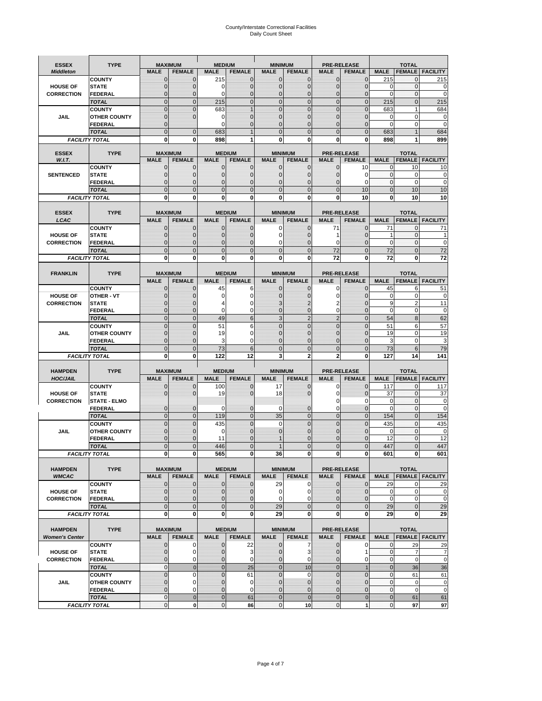# County/Interstate Correctional Facilities Daily Count Sheet

| <b>ESSEX</b>                         | <b>TYPE</b>                           |                                  | <b>MAXIMUM</b>                 | <b>MEDIUM</b>                  |                               | <b>MINIMUM</b>               |                              |                               | <b>PRE-RELEASE</b>               |                             | <b>TOTAL</b>                  |                        |
|--------------------------------------|---------------------------------------|----------------------------------|--------------------------------|--------------------------------|-------------------------------|------------------------------|------------------------------|-------------------------------|----------------------------------|-----------------------------|-------------------------------|------------------------|
| <b>Middleton</b>                     |                                       | <b>MALE</b>                      | <b>FEMALE</b>                  | <b>MALE</b>                    | <b>FEMALE</b>                 | <b>MALE</b>                  | <b>FEMALE</b>                | <b>MALE</b>                   | <b>FEMALE</b>                    | <b>MALE</b>                 |                               | <b>FEMALE FACILITY</b> |
|                                      | <b>COUNTY</b>                         | 0                                | $\mathbf 0$                    | 215                            | 0                             | $\mathbf{0}$                 | $\mathbf{0}$                 | $\mathbf{0}$                  | $\Omega$                         | 215                         | 0                             | 215                    |
| <b>HOUSE OF</b>                      | <b>STATE</b>                          | 0                                | $\mathbf 0$                    | $\Omega$                       | 0                             | $\mathbf 0$                  | $\mathbf{0}$                 | $\mathbf{0}$                  | $\Omega$                         | $\Omega$                    | $\mathbf{0}$                  | 0                      |
| <b>CORRECTION</b>                    | <b>FEDERAL</b>                        | $\Omega$<br>$\mathbf 0$          | $\mathbf 0$<br>$\overline{0}$  | $\Omega$                       | $\overline{0}$<br>$\mathbf 0$ | $\mathbf{0}$<br>$\mathbf{0}$ | $\mathbf{0}$<br>$\mathbf{0}$ | $\mathbf{0}$<br>$\mathbf 0$   | $\Omega$<br>$\mathbf{0}$         | $\Omega$                    | $\mathbf{0}$<br>$\mathbf{0}$  | $\mathbf 0$<br>215     |
|                                      | <b>TOTAL</b><br><b>COUNTY</b>         | $\mathbf 0$                      | $\mathbf{0}$                   | 215<br>683                     | $\overline{1}$                | $\mathbf{0}$                 | $\mathbf 0$                  | $\mathbf{0}$                  | $\overline{0}$                   | 215<br>683                  | $\mathbf{1}$                  | 684                    |
| JAIL                                 | <b>OTHER COUNTY</b>                   | $\mathbf{0}$                     | $\mathbf 0$                    | 0                              | 0                             | $\mathbf{0}$                 | $\Omega$                     | $\mathbf{0}$                  | ſ                                | $\Omega$                    | $\Omega$                      | 0                      |
|                                      | <b>FEDERAL</b>                        | $\mathbf{0}$                     |                                | $\Omega$                       | 0                             | $\mathbf{0}$                 | $\mathbf 0$                  | $\mathbf{0}$                  | $\mathbf 0$                      | $\mathbf 0$                 | 0                             | $\mathbf 0$            |
|                                      | <b>TOTAL</b>                          | $\Omega$                         | $\overline{0}$                 | 683                            | $\overline{1}$                | $\mathbf{0}$                 | $\Omega$                     | $\overline{0}$                | $\Omega$                         | 683                         |                               | 684                    |
|                                      | <b>FACILITY TOTAL</b>                 | 0                                | 0                              | 898                            | 1                             | $\bf{0}$                     | 0                            | 0                             | 0                                | 898                         |                               | 899                    |
| <b>ESSEX</b>                         | <b>TYPE</b>                           |                                  | <b>MAXIMUM</b>                 |                                | <b>MEDIUM</b>                 |                              | <b>MINIMUM</b>               |                               | <b>PRE-RELEASE</b>               |                             | <b>TOTAL</b>                  |                        |
| W.I.T.                               |                                       | <b>MALE</b>                      | <b>FEMALE</b>                  | <b>MALE</b>                    | <b>FEMALE</b>                 | <b>MALE</b>                  | <b>FEMALE</b>                | <b>MALE</b>                   | <b>FEMALE</b>                    | <b>MALE</b>                 | <b>FEMALE</b>                 | <b>FACILITY</b>        |
|                                      | <b>COUNTY</b>                         | $\mathbf{0}$                     | 0                              | $\mathbf 0$                    | $\mathbf{0}$                  | $\mathbf{0}$                 | $\mathbf{0}$                 | $\mathbf{0}$                  | 10                               | 0                           | 10                            | 10                     |
| <b>SENTENCED</b>                     | <b>STATE</b>                          | 0                                | $\overline{0}$                 | $\mathbf{0}$                   | 0                             | $\mathbf{0}$                 | $\mathbf{0}$                 | $\mathbf 0$                   | 0                                | $\mathbf 0$                 | $\mathbf 0$                   | $\mathbf 0$            |
|                                      | <b>FEDERAL</b>                        | $\overline{0}$                   | $\mathbf 0$                    | $\Omega$                       | 0                             | $\mathbf{0}$                 | $\Omega$                     | 0                             | $\Omega$                         | $\mathbf{0}$                | $\Omega$                      | $\mathbf 0$            |
|                                      | <b>TOTAL</b>                          | $\overline{0}$                   | $\overline{0}$                 | $\mathbf 0$                    | $\overline{0}$                | $\mathbf{0}$                 | $\overline{0}$               | $\mathbf 0$                   | 10                               | $\mathbf{0}$                | 10                            | 10                     |
|                                      | <b>FACILITY TOTAL</b>                 | $\mathbf{0}$                     | 0                              | $\bf{0}$                       | O                             | $\bf{0}$                     | 0                            | 0                             | 10                               | $\bf{0}$                    | 10                            | 10                     |
| <b>ESSEX</b>                         | <b>TYPE</b>                           |                                  | <b>MAXIMUM</b>                 |                                | <b>MEDIUM</b>                 |                              | <b>MINIMUM</b>               |                               | <b>PRE-RELEASE</b>               |                             | <b>TOTAL</b>                  |                        |
| LCAC                                 |                                       | <b>MALE</b>                      | <b>FEMALE</b>                  | <b>MALE</b>                    | <b>FEMALE</b>                 | <b>MALE</b>                  | <b>FEMALE</b>                | <b>MALE</b>                   | <b>FEMALE</b>                    | <b>MALE</b>                 | <b>FEMALE</b>                 | <b>FACILITY</b>        |
|                                      | <b>COUNTY</b>                         | 0                                | $\mathbf 0$                    | $\mathbf{0}$                   | 0                             | $\mathbf 0$                  | $\mathbf{0}$                 | 71                            | $\Omega$                         | 71                          | $\mathbf 0$                   | 71                     |
| <b>HOUSE OF</b>                      | <b>STATE</b>                          | $\Omega$                         | $\mathbf 0$                    | $\Omega$                       | 0                             | $\Omega$                     | $\Omega$                     | 1                             | $\Omega$                         | 1                           | $\Omega$                      |                        |
| <b>CORRECTION</b>                    | <b>FEDERAL</b>                        | 0                                | $\overline{0}$                 | $\mathbf{0}$                   | 0                             | $\mathbf 0$                  | $\mathbf 0$                  | 0                             | $\mathcal{C}$                    | $\mathbf 0$                 | $\mathbf{0}$                  | $\pmb{0}$              |
|                                      | <b>TOTAL</b>                          | $\overline{0}$                   | $\overline{0}$                 | $\overline{0}$                 | $\overline{0}$                | $\mathbf 0$                  | $\overline{0}$               | 72                            | $\overline{0}$                   | 72                          | $\Omega$                      | 72                     |
|                                      | <b>FACILITY TOTAL</b>                 | 0                                | 0                              | 0                              | 0                             | $\bf{0}$                     | 0                            | 72                            | 0                                | 72                          | 0                             | 72                     |
| <b>FRANKLIN</b>                      | <b>TYPE</b>                           |                                  | <b>MAXIMUM</b>                 |                                | <b>MEDIUM</b>                 |                              | <b>MINIMUM</b>               |                               | <b>PRE-RELEASE</b>               |                             | <b>TOTAL</b>                  |                        |
|                                      |                                       | <b>MALE</b>                      | <b>FEMALE</b>                  | <b>MALE</b>                    | <b>FEMALE</b>                 | <b>MALE</b>                  | <b>FEMALE</b>                | <b>MALE</b>                   | <b>FEMALE</b>                    | <b>MALE</b>                 | <b>FEMALE</b>                 | <b>FACILITY</b>        |
|                                      | <b>COUNTY</b>                         | 0                                | 0                              | 45                             | 6                             | $\mathbf{0}$                 | 0                            | 0                             | $\Omega$                         | 45                          | 6                             | 51                     |
| <b>HOUSE OF</b>                      | <b>OTHER - VT</b>                     | 0                                | $\overline{0}$                 | 0                              | 0                             | $\mathbf 0$                  | 0                            | $\mathbf 0$                   | $\sqrt{ }$                       | $\mathbf 0$                 | $\mathbf 0$                   | 0                      |
| <b>CORRECTION</b>                    | <b>STATE</b>                          | 0                                | $\mathbf 0$                    | 4                              | 0                             | 3                            | 2                            | 2                             | $\sqrt{ }$                       | 9                           | $\overline{2}$                | 11                     |
|                                      | <b>FEDERAL</b>                        | $\mathbf{0}$                     | $\overline{0}$                 | $\Omega$                       | 0                             | $\mathbf{0}$                 | $\mathbf 0$                  | 0                             | $\overline{0}$                   | $\mathbf 0$                 | $\mathbf 0$                   | $\mathbf 0$            |
|                                      | <b>TOTAL</b>                          | $\mathbf 0$                      | $\mathbf{0}$                   | 49                             | 6                             | 3                            | $\overline{2}$               | $\overline{2}$                | $\overline{0}$                   | 54                          | 8                             | 62                     |
|                                      | <b>COUNTY</b>                         | $\mathbf 0$                      | $\mathbf 0$                    | 51                             | 6<br>0                        | $\mathbf 0$<br>$\Omega$      | $\mathbf 0$                  | $\mathbf 0$                   | $\overline{0}$<br>$\sqrt{ }$     | 51<br>19                    | 6<br>$\Omega$                 | 57                     |
| <b>JAIL</b>                          | <b>OTHER COUNTY</b><br><b>FEDERAL</b> | $\overline{0}$<br>$\overline{0}$ | $\mathbf 0$<br>$\overline{0}$  | 19<br>3                        | 0                             | $\mathbf{0}$                 | $\Omega$<br>$\overline{0}$   | $\mathbf 0$<br>$\mathbf{0}$   | $\mathbf 0$                      | 3                           | $\mathbf 0$                   | 19<br>3                |
|                                      | <b>TOTAL</b>                          | $\mathbf 0$                      | $\mathbf 0$                    | 73                             | 6                             | $\mathbf{0}$                 | $\overline{0}$               | $\mathbf 0$                   | $\Omega$                         | 73                          | 6                             | 79                     |
|                                      | <b>FACILITY TOTAL</b>                 | $\mathbf{0}$                     | 0                              | 122                            | 12                            | 3                            | $\mathbf{2}$                 | $\overline{2}$                | 0                                | 127                         | 14                            | 141                    |
|                                      |                                       |                                  |                                |                                |                               |                              |                              |                               |                                  |                             |                               |                        |
| <b>HAMPDEN</b>                       | <b>TYPE</b>                           |                                  | <b>MAXIMUM</b>                 | <b>MEDIUM</b>                  |                               | <b>MINIMUM</b>               |                              |                               | <b>PRE-RELEASE</b>               |                             | <b>TOTAL</b>                  |                        |
| <b>HOC/JAIL</b>                      |                                       | <b>MALE</b>                      | <b>FEMALE</b>                  | <b>MALE</b>                    | <b>FEMALE</b>                 | <b>MALE</b>                  | <b>FEMALE</b>                | <b>MALE</b>                   | <b>FEMALE</b>                    | <b>MALE</b>                 | <b>FEMALE</b>                 | <b>FACILITY</b>        |
| <b>HOUSE OF</b>                      | <b>COUNTY</b><br><b>STATE</b>         | $\mathbf{0}$<br>$\Omega$         | 0<br>$\overline{0}$            | 100<br>19                      | 0<br>0                        | 17<br>18                     | $\mathbf 0$<br>$\Omega$      | 0<br>0                        | $\Omega$<br>$\Omega$             | 117<br>37                   | $\mathbf 0$<br>$\mathbf{0}$   | 117<br>37              |
| <b>CORRECTION</b>                    | <b>STATE - ELMO</b>                   |                                  |                                |                                |                               |                              |                              | 0                             | $\Omega$                         | 0                           | $\mathbf{0}$                  | 0                      |
|                                      | <b>FEDERAL</b>                        | $\mathbf{0}$                     | $\mathbf 0$                    | 0                              | 0                             | 0                            | $\mathbf 0$                  | $\mathbf 0$                   | $\overline{0}$                   | $\Omega$                    | $\mathbf 0$                   | 0                      |
|                                      | <b>TOTAL</b>                          | $\mathbf{0}$                     | $\overline{0}$                 | 119                            | $\overline{0}$                | 35                           | $\mathbf{0}$                 | $\overline{0}$                | $\overline{0}$                   | 154                         | $\mathbf{0}$                  | 154                    |
|                                      | <b>COUNTY</b>                         | $\Omega$                         | $\overline{0}$                 | 435                            | $\overline{0}$                | $\Omega$                     | $\Omega$                     | $\overline{0}$                | $\Omega$                         | 435                         | $\Omega$                      | 435                    |
| JAIL                                 | <b>OTHER COUNTY</b>                   | 0                                | $\mathbf 0$                    | 0                              | 0                             | $\mathbf{0}$                 | $\Omega$                     | $\mathbf 0$                   | $\Omega$                         | $\mathbf 0$                 | $\mathbf{0}$                  | $\mathbf 0$            |
|                                      | <b>FEDERAL</b>                        | $\Omega$<br>$\overline{0}$       | $\Omega$<br>$\sqrt{ }$         | 11<br>446                      | $\Omega$<br>$\overline{0}$    |                              | $\Omega$<br>$\Omega$         | $\mathbf 0$<br>$\overline{0}$ | $\Omega$                         | 12<br>447                   | $\Omega$                      | 12<br>447              |
|                                      | <b>TOTAL</b><br><b>FACILITY TOTAL</b> | $\mathbf{0}$                     | 0                              | 565                            | 0                             | 36                           | 0                            | $\mathbf{0}$                  | 0                                | 601                         | 0                             | 601                    |
|                                      |                                       |                                  |                                |                                |                               |                              |                              |                               |                                  |                             |                               |                        |
| <b>HAMPDEN</b>                       | <b>TYPE</b>                           |                                  | <b>MAXIMUM</b>                 |                                | <b>MEDIUM</b>                 |                              | <b>MINIMUM</b>               |                               | <b>PRE-RELEASE</b>               |                             | <b>TOTAL</b>                  |                        |
| <b>WMCAC</b>                         |                                       | <b>MALE</b>                      | <b>FEMALE</b>                  | <b>MALE</b>                    | <b>FEMALE</b>                 | <b>MALE</b>                  | <b>FEMALE</b>                | <b>MALE</b>                   | <b>FEMALE</b>                    | <b>MALE</b>                 |                               | <b>FEMALE FACILITY</b> |
|                                      | <b>COUNTY</b>                         | 0                                | $\mathbf 0$                    | $\mathbf{0}$                   | 0                             | 29                           | 0                            | $\mathbf 0$                   | $\mathbf 0$                      | 29                          | 0                             | 29                     |
| <b>HOUSE OF</b>                      | <b>STATE</b>                          | 0<br>0                           | $\mathbf{0}$<br>$\overline{0}$ | $\mathbf{0}$<br>$\overline{0}$ | 0                             | 0<br>$\mathbf 0$             | 0                            | $\mathbf{0}$                  | $\overline{0}$<br>$\overline{0}$ | $\mathbf 0$<br>$\mathbf 0$  | $\mathbf 0$<br>$\mathbf 0$    | 0<br>$\pmb{0}$         |
| <b>CORRECTION</b>                    | <b>FEDERAL</b><br><b>TOTAL</b>        | $\mathbf 0$                      | $\mathbf 0$                    | $\mathbf{0}$                   | 0<br>$\mathbf 0$              | 29                           | 0<br>$\mathbf 0$             | $\mathbf{0}$<br>$\mathbf 0$   | $\mathbf 0$                      | 29                          | $\mathbf 0$                   | 29                     |
|                                      | <b>FACILITY TOTAL</b>                 | 0                                | 0                              | $\mathbf{0}$                   | 0                             | 29                           | 0                            | 0                             | $\mathbf 0$                      | 29                          | 0                             | 29                     |
|                                      |                                       |                                  |                                |                                |                               |                              |                              |                               |                                  |                             |                               |                        |
| <b>HAMPDEN</b>                       | <b>TYPE</b>                           |                                  | <b>MAXIMUM</b>                 |                                | <b>MEDIUM</b>                 |                              | <b>MINIMUM</b>               |                               | <b>PRE-RELEASE</b>               |                             | <b>TOTAL</b>                  |                        |
| <b>Women's Center</b>                |                                       | <b>MALE</b>                      | <b>FEMALE</b>                  | <b>MALE</b>                    | <b>FEMALE</b>                 | <b>MALE</b>                  | <b>FEMALE</b>                | <b>MALE</b>                   | <b>FEMALE</b>                    | <b>MALE</b>                 |                               | <b>FEMALE FACILITY</b> |
|                                      | <b>COUNTY</b>                         | 0                                | 0                              | 0                              | 22                            | $\bf{0}$                     | 7                            | 0                             | 0                                | 0                           | 29                            | 29                     |
| <b>HOUSE OF</b><br><b>CORRECTION</b> | <b>STATE</b>                          | $\mathbf{0}$<br>0                | $\mathbf 0$<br>0               | $\mathbf 0$<br>0               | 3<br>0                        | $\mathbf{0}$<br>$\mathbf 0$  | 3<br>0                       | $\mathbf{0}$<br>$\mathbf{0}$  | 1<br>0                           | $\mathbf{0}$<br>$\mathbf 0$ | $\overline{7}$<br>$\mathbf 0$ | 7<br>$\mathbf 0$       |
|                                      | <b>FEDERAL</b><br><b>TOTAL</b>        | $\mathbf{0}$                     | $\mathbf{0}$                   | $\overline{0}$                 | 25                            | $\overline{0}$               | 10                           | $\mathbf{0}$                  | $\overline{1}$                   | $\overline{0}$              | 36                            | 36                     |
|                                      | <b>COUNTY</b>                         | $\mathbf 0$                      | $\mathbf 0$                    | $\mathbf{0}$                   | 61                            | $\mathbf{0}$                 | $\Omega$                     | $\overline{0}$                | $\mathbf 0$                      | $\mathbf 0$                 | 61                            | 61                     |
| JAIL                                 | <b>OTHER COUNTY</b>                   | $\overline{0}$                   | 0                              | $\mathbf{0}$                   | 0                             | $\mathbf{0}$                 | $\mathbf{0}$                 | $\mathbf{0}$                  | $\Omega$                         | $\mathbf 0$                 | $\mathbf 0$                   | 0                      |
|                                      | <b>FEDERAL</b>                        | 0                                | 0                              | $\mathbf{0}$                   | 0                             | $\mathbf 0$                  | $\mathbf{0}$                 | 0                             | $\overline{0}$                   | $\mathbf 0$                 | $\mathbf 0$                   | $\mathbf 0$            |
|                                      | <b>TOTAL</b>                          | $\mathbf{0}$                     | $\mathbf 0$                    | $\overline{0}$                 | 61                            | $\bf{0}$                     | $\overline{0}$               | $\bf{0}$                      | $\pmb{0}$                        | $\mathbf{0}$                | 61                            | 61                     |
|                                      | <b>FACILITY TOTAL</b>                 | 0                                | $\pmb{0}$                      | $\pmb{0}$                      | 86                            | $\mathbf 0$                  | 10                           | $\mathbf{0}$                  | 1                                | $\pmb{0}$                   | 97                            | 97                     |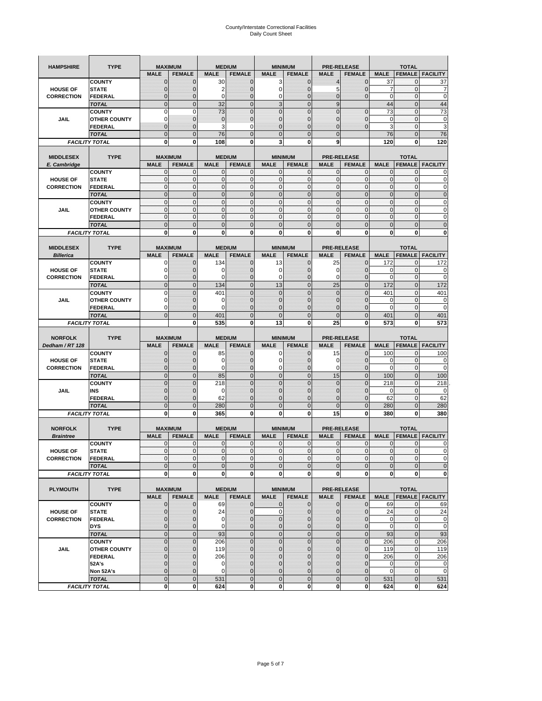| <b>HAMPSHIRE</b>  | <b>TYPE</b>                           | <b>MAXIMUM</b>             |                     | <b>MEDIUM</b>               |                  | <b>MINIMUM</b>             |                              | <b>PRE-RELEASE</b> |                        | <b>TOTAL</b>                |                          |                                                                                                                                     |  |
|-------------------|---------------------------------------|----------------------------|---------------------|-----------------------------|------------------|----------------------------|------------------------------|--------------------|------------------------|-----------------------------|--------------------------|-------------------------------------------------------------------------------------------------------------------------------------|--|
|                   |                                       | <b>MALE</b>                | <b>FEMALE</b>       | <b>MALE</b>                 | <b>FEMALE</b>    | <b>MALE</b>                | <b>FEMALE</b>                | <b>MALE</b>        | <b>FEMALE</b>          | <b>MALE</b>                 | <b>FEMALE</b>            | <b>FACILITY</b>                                                                                                                     |  |
|                   | <b>COUNTY</b>                         | $\mathbf 0$                | $\mathbf 0$         | 30                          | $\mathbf 0$      | 3                          | $\mathbf 0$                  | $\overline{4}$     | $\mathbf 0$            | 37                          | $\mathbf{0}$             | 37                                                                                                                                  |  |
| <b>HOUSE OF</b>   | <b>STATE</b>                          | $\mathbf{0}$               | $\overline{0}$      | $\overline{2}$              | $\mathbf 0$      | $\mathbf 0$                | $\mathbf 0$                  | 5                  | $\overline{0}$         | $\overline{7}$              | $\mathbf 0$              | 7                                                                                                                                   |  |
| <b>CORRECTION</b> | <b>FEDERAL</b>                        | $\mathbf{0}$               | 0                   | $\mathbf 0$                 | $\mathbf 0$      | 0                          | $\mathbf 0$                  | 0                  | $\overline{0}$         | $\mathbf 0$                 | $\mathbf 0$              | $\mathbf 0$                                                                                                                         |  |
|                   | <b>TOTAL</b>                          | $\mathbf{0}$               | $\overline{0}$      | 32                          | $\mathbf{0}$     | 3                          | $\mathbf{0}$                 | 9                  |                        | 44                          | $\mathbf{0}$             | 44                                                                                                                                  |  |
|                   | <b>COUNTY</b>                         | $\mathbf 0$                | $\mathbf 0$         | 73                          | $\overline{0}$   | $\overline{0}$             | $\overline{0}$               | $\overline{0}$     | $\overline{0}$         | 73                          | $\mathbf{0}$             | 73                                                                                                                                  |  |
| JAIL              | <b>OTHER COUNTY</b>                   | $\Omega$                   | $\mathbf{0}$        | $\mathbf 0$                 | $\mathbf 0$      | $\mathbf 0$                | $\mathbf 0$                  | 0                  | $\mathbf 0$            | 0                           | $\mathbf 0$              | 0                                                                                                                                   |  |
|                   | FEDERAL                               | $\mathbf{0}$               | $\overline{0}$      | 3                           | 0                | $\overline{0}$             | $\mathbf{0}$                 | $\overline{0}$     | $\mathbf 0$            | 3                           | $\mathbf{0}$             | 3                                                                                                                                   |  |
|                   | <b>TOTAL</b>                          | $\mathbf{0}$               | $\mathbf 0$         | 76                          | $\mathbf 0$      | $\mathbf 0$                | $\mathbf 0$                  | $\mathbf{0}$       |                        | 76                          | $\mathbf 0$              | 76                                                                                                                                  |  |
|                   | <b>FACILITY TOTAL</b>                 | 0                          | 0                   | 108                         | 0                | 3                          | 0                            | 9                  |                        | 120                         | 0                        | 120                                                                                                                                 |  |
|                   |                                       |                            |                     |                             |                  |                            |                              |                    |                        |                             |                          |                                                                                                                                     |  |
| <b>MIDDLESEX</b>  | <b>TYPE</b>                           |                            | <b>MAXIMUM</b>      |                             | <b>MEDIUM</b>    |                            | <b>MINIMUM</b>               |                    | <b>PRE-RELEASE</b>     |                             | <b>TOTAL</b>             |                                                                                                                                     |  |
| E. Cambridge      |                                       | <b>MALE</b>                | <b>FEMALE</b>       | <b>MALE</b>                 | <b>FEMALE</b>    | <b>MALE</b>                | <b>FEMALE</b>                | <b>MALE</b>        | <b>FEMALE</b>          | <b>MALE</b>                 | <b>FEMALE</b>            | <b>FACILITY</b>                                                                                                                     |  |
| <b>HOUSE OF</b>   | <b>COUNTY</b><br><b>STATE</b>         | 0<br>$\pmb{0}$             | 0<br>0              | $\mathbf 0$<br>$\mathbf{0}$ | 0<br>$\mathbf 0$ | 0<br>$\mathbf 0$           | $\mathbf{0}$<br>$\mathbf 0$  | 0<br>$\mathbf 0$   | 0<br>$\mathbf 0$       | 0<br>$\pmb{0}$              | 0<br>$\mathbf 0$         | 0<br>0                                                                                                                              |  |
| <b>CORRECTION</b> | <b>FEDERAL</b>                        | $\mathbf{0}$               | $\mathbf 0$         | $\mathbf 0$                 | $\mathbf 0$      | $\mathbf 0$                | $\mathbf{0}$                 | $\mathbf 0$        | $\mathbf 0$            | $\mathbf{0}$                | $\mathbf{0}$             | $\mathbf 0$                                                                                                                         |  |
|                   | <b>TOTAL</b>                          | $\Omega$                   | $\mathbf 0$         | $\mathbf{0}$                | $\mathbf{0}$     | $\mathbf 0$                | $\mathbf 0$                  | $\mathbf{0}$       | $\overline{0}$         | $\pmb{0}$                   | $\mathbf{0}$             | $\mathbf 0$                                                                                                                         |  |
|                   | <b>COUNTY</b>                         | $\mathbf{0}$               | $\mathbf{0}$        | $\mathbf{0}$                | $\mathbf{0}$     | $\mathbf{0}$               | $\mathbf{0}$                 | $\mathbf{0}$       | $\mathbf 0$            | $\mathbf{0}$                | $\mathbf{0}$             | 0                                                                                                                                   |  |
| JAIL              | <b>OTHER COUNTY</b>                   | 0                          | $\mathbf 0$         | $\mathbf 0$                 | 0                | $\mathbf{0}$               | $\overline{0}$               | $\mathbf{0}$       | 0                      | $\pmb{0}$                   | 0                        | 0                                                                                                                                   |  |
|                   | <b>FEDERAL</b>                        | $\mathbf{0}$               | $\mathbf{0}$        | $\mathbf 0$                 | $\mathbf 0$      | $\mathbf{0}$               | $\overline{0}$               | $\mathbf{0}$       | $\mathbf 0$            | $\mathbf{0}$                | $\mathbf{0}$             | 0                                                                                                                                   |  |
|                   | <b>TOTAL</b>                          | $\mathbf 0$                | $\overline{0}$      | $\overline{0}$              | $\overline{0}$   | $\overline{0}$             | $\overline{0}$               | $\overline{0}$     | $\overline{0}$         | $\mathbf{0}$                | $\overline{0}$           | $\overline{0}$                                                                                                                      |  |
|                   | <b>FACILITY TOTAL</b>                 | 0                          | 0                   | 0                           | 0                | 0                          | 0                            | 0                  | 0                      | 0                           | 0                        | 0                                                                                                                                   |  |
|                   |                                       |                            |                     |                             |                  |                            |                              |                    |                        |                             |                          |                                                                                                                                     |  |
| <b>MIDDLESEX</b>  | <b>TYPE</b>                           |                            | <b>MAXIMUM</b>      |                             | <b>MEDIUM</b>    |                            | <b>MINIMUM</b>               |                    | <b>PRE-RELEASE</b>     |                             | <b>TOTAL</b>             |                                                                                                                                     |  |
| <b>Billerica</b>  |                                       | <b>MALE</b>                | <b>FEMALE</b>       | <b>MALE</b>                 | <b>FEMALE</b>    | <b>MALE</b>                | <b>FEMALE</b>                | <b>MALE</b>        | <b>FEMALE</b>          | <b>MALE</b>                 | <b>FEMALE</b>            | <b>FACILITY</b>                                                                                                                     |  |
|                   | <b>COUNTY</b>                         | 0                          | $\mathbf 0$         | 134                         | 0                | 13                         | $\mathbf{0}$                 | 25                 | 0                      | 172                         | 0                        | 172                                                                                                                                 |  |
| <b>HOUSE OF</b>   | <b>STATE</b>                          | 0                          | $\mathbf 0$         | 0                           | $\mathbf 0$      | 0                          | 0                            | 0                  | $\mathbf 0$            | 0                           | $\mathbf 0$              | 0                                                                                                                                   |  |
| <b>CORRECTION</b> | <b>FEDERAL</b>                        | 0                          | $\mathbf{0}$        | 0                           | 0                | 0                          | $\mathbf{0}$                 | 0                  | $\mathbf 0$            | 0                           | 0                        | 0                                                                                                                                   |  |
|                   | <b>TOTAL</b>                          | $\mathbf{0}$               | $\mathbf 0$         | 134                         | $\mathbf 0$      | 13                         | $\overline{0}$               | 25                 | $\overline{0}$         | 172                         | $\mathbf{0}$             | 172                                                                                                                                 |  |
|                   | <b>COUNTY</b>                         | $\Omega$                   | $\overline{0}$      | 401                         | $\Omega$         | $\overline{0}$             | $\Omega$                     | $\overline{0}$     | $\Omega$               | 401                         | $\mathbf 0$              | 401                                                                                                                                 |  |
| JAIL              | <b>OTHER COUNTY</b>                   | 0                          | 0                   | 0                           | $\mathbf{0}$     | $\mathbf{0}$               | $\mathbf{0}$                 | $\mathbf{0}$       | $\overline{0}$         | 0                           | 0                        | 0                                                                                                                                   |  |
|                   | <b>FEDERAL</b>                        | $\Omega$                   | $\mathbf 0$         | $\Omega$                    | $\mathbf 0$      | $\overline{0}$             | $\overline{0}$               | 0                  | $\mathbf 0$            | $\Omega$                    | $\mathbf 0$              | $\mathbf 0$                                                                                                                         |  |
|                   | <b>TOTAL</b>                          | $\mathbf 0$                | $\overline{0}$      | 401                         | $\overline{0}$   | $\overline{0}$             | $\overline{0}$               | $\overline{0}$     | $\overline{0}$         | 401                         | $\overline{0}$           | 401                                                                                                                                 |  |
|                   | <b>FACILITY TOTAL</b>                 |                            | 0                   | 535                         | 0                | 13                         | $\mathbf 0$                  | 25                 | 0                      | 573                         | 0                        | 573                                                                                                                                 |  |
|                   |                                       |                            |                     |                             |                  |                            |                              |                    |                        |                             |                          |                                                                                                                                     |  |
|                   |                                       |                            |                     |                             |                  |                            |                              |                    |                        |                             |                          |                                                                                                                                     |  |
| <b>NORFOLK</b>    | <b>TYPE</b>                           |                            | <b>MAXIMUM</b>      |                             | <b>MEDIUM</b>    |                            | <b>MINIMUM</b>               |                    | <b>PRE-RELEASE</b>     |                             | <b>TOTAL</b>             |                                                                                                                                     |  |
| Dedham / RT 128   |                                       | <b>MALE</b>                | <b>FEMALE</b>       | <b>MALE</b>                 | <b>FEMALE</b>    | <b>MALE</b>                | <b>FEMALE</b>                | <b>MALE</b>        | <b>FEMALE</b>          | <b>MALE</b>                 | <b>FEMALE</b>            | <b>FACILITY</b>                                                                                                                     |  |
|                   | <b>COUNTY</b>                         | 0                          | $\mathbf 0$         | 85                          | 0                | 0                          | $\mathbf{0}$                 | 15                 | 0                      | 100                         | 0                        | 100                                                                                                                                 |  |
| <b>HOUSE OF</b>   | <b>STATE</b>                          | $\mathbf{0}$               | $\mathbf 0$         | 0                           | $\mathbf{0}$     | 0                          | $\mathbf{0}$                 | 0                  | $\mathbf 0$            | 0                           | $\mathbf 0$              | 0                                                                                                                                   |  |
| <b>CORRECTION</b> | FEDERAL                               | $\mathbf{0}$               | 0                   | 0                           | 0                | 0                          | $\mathbf 0$                  | 0                  | 0                      | $\mathbf 0$                 | $\mathbf 0$              | 0                                                                                                                                   |  |
|                   | <b>TOTAL</b>                          | $\pmb{0}$                  | $\mathbf 0$         | 85                          | $\mathbf 0$      | $\mathbf 0$                | $\overline{0}$               | 15                 | $\mathbf 0$            | 100                         | $\pmb{0}$                | 100                                                                                                                                 |  |
|                   | <b>COUNTY</b>                         | $\Omega$                   | $\overline{0}$      | 218                         | $\overline{0}$   | $\overline{0}$             | $\Omega$                     | $\mathbf 0$        | $\overline{0}$         | 218                         | 0                        | 218                                                                                                                                 |  |
| JAIL              | INS                                   | $\mathbf{0}$               | 0                   | 0                           | $\mathbf{0}$     | $\mathbf{0}$               | $\mathbf{0}$                 | 0                  | $\mathbf 0$            | 0                           | 0                        | 0                                                                                                                                   |  |
|                   | FEDERAL                               | $\mathbf{0}$               | $\mathbf 0$         | 62                          | $\mathbf 0$      | $\overline{0}$             | $\Omega$                     | $\mathbf 0$        | $\mathbf 0$            | 62                          | $\mathbf 0$              | 62                                                                                                                                  |  |
|                   | <b>TOTAL</b>                          | $\mathbf 0$                | $\overline{0}$      | 280                         | $\overline{0}$   | $\overline{0}$             | $\overline{0}$               | $\overline{0}$     | $\overline{0}$         | 280                         | $\mathbf{0}$             | 280                                                                                                                                 |  |
|                   | <b>FACILITY TOTAL</b>                 | 0                          | 0                   | 365                         | 0                | 0                          | 0                            | 15                 | 0                      | 380                         | 0                        | 380                                                                                                                                 |  |
|                   |                                       |                            |                     |                             |                  |                            |                              |                    |                        |                             |                          |                                                                                                                                     |  |
| <b>NORFOLK</b>    | <b>TYPE</b>                           |                            | <b>MAXIMUM</b>      |                             | <b>MEDIUM</b>    |                            | <b>MINIMUM</b>               |                    | <b>PRE-RELEASE</b>     |                             | <b>TOTAL</b>             |                                                                                                                                     |  |
| <b>Braintree</b>  |                                       | <b>MALE</b>                | <b>FEMALE</b>       | <b>MALE</b>                 | <b>FEMALE</b>    | <b>MALE</b>                | <b>FEMALE</b>                | <b>MALE</b>        | <b>FEMALE</b>          | <b>MALE</b>                 | <b>FEMALE</b>            | <b>FACILITY</b>                                                                                                                     |  |
|                   | <b>COUNTY</b>                         | $\mathbf{0}$               | $\mathbf{0}$        | $\mathbf 0$                 | 0                | 0                          | $\mathbf{0}$                 | 0                  | $\mathbf{0}$           | $\mathbf 0$                 | 0                        | 0                                                                                                                                   |  |
| <b>HOUSE OF</b>   | <b>STATE</b>                          | $\Omega$                   | $\Omega$            | $\Omega$                    | $\overline{0}$   | $\Omega$                   | $\Omega$                     | $\mathbf{0}$       | $\Omega$               | $\Omega$                    | $\Omega$                 |                                                                                                                                     |  |
| <b>CORRECTION</b> | FEDERAL                               | $\mathbf 0$                | 0<br>$\overline{0}$ | $\mathbf 0$<br>$\mathbf{0}$ | $\bf{0}$         | $\mathbf 0$<br>$\mathbf 0$ | $\overline{0}$               | $\mathbf 0$        | $\mathbf 0$            | $\overline{0}$              | $\mathbf 0$              |                                                                                                                                     |  |
|                   | <b>TOTAL</b><br><b>FACILITY TOTAL</b> | $\mathbf 0$<br>$\mathbf 0$ | 0                   | 0                           | $\mathbf 0$<br>0 | $\mathbf 0$                | $\mathbf 0$<br><sub>0</sub>  | $\mathbf 0$<br>0   | $\mathbf 0$<br>0       | $\mathbf 0$<br>$\mathbf{0}$ | $\pmb{0}$<br>$\mathbf 0$ | 0                                                                                                                                   |  |
|                   |                                       |                            |                     |                             |                  |                            |                              |                    |                        |                             |                          |                                                                                                                                     |  |
| <b>PLYMOUTH</b>   | <b>TYPE</b>                           |                            | <b>MAXIMUM</b>      |                             | <b>MEDIUM</b>    |                            | <b>MINIMUM</b>               |                    | <b>PRE-RELEASE</b>     |                             | <b>TOTAL</b>             |                                                                                                                                     |  |
|                   |                                       | <b>MALE</b>                | <b>FEMALE</b>       | <b>MALE</b>                 | <b>FEMALE</b>    | <b>MALE</b>                | <b>FEMALE</b>                | <b>MALE</b>        | <b>FEMALE</b>          | <b>MALE</b>                 |                          | <b>FEMALE   FACILITY</b>                                                                                                            |  |
|                   | <b>COUNTY</b>                         | $\mathbf{0}$               | 0                   | 69                          | $\mathbf{0}$     | 0                          | $\mathbf{0}$                 | $\mathbf 0$        | 0                      | 69                          | $\mathbf 0$              | 69                                                                                                                                  |  |
| <b>HOUSE OF</b>   | <b>STATE</b>                          | $\mathbf{0}$               | $\mathbf 0$         | 24                          | $\mathbf 0$      | $\mathbf 0$                | $\mathbf{0}$                 | $\mathbf{0}$       | $\overline{0}$         | 24                          | $\pmb{0}$                |                                                                                                                                     |  |
| <b>CORRECTION</b> | <b>FEDERAL</b>                        | $\mathbf 0$                | $\mathbf 0$         | 0                           | $\pmb{0}$        | $\mathbf 0$                | $\mathbf{0}$                 | 0                  | $\mathbf 0$            | $\mathbf 0$                 | $\mathbf 0$              |                                                                                                                                     |  |
|                   | <b>DYS</b>                            | $\mathbf{0}$               | $\mathbf{0}$        | 0                           | $\mathbf{0}$     | $\mathbf 0$                | $\mathbf{0}$                 | $\mathbf 0$        | $\overline{0}$         | $\mathbf 0$                 | $\Omega$                 |                                                                                                                                     |  |
|                   | <b>TOTAL</b>                          | $\mathbf 0$                | $\mathbf 0$         | 93                          | $\mathbf 0$      | $\mathbf 0$                | $\mathbf 0$                  | $\mathbf 0$        | $\pmb{0}$              | 93                          | $\mathbf{0}$             |                                                                                                                                     |  |
|                   | <b>COUNTY</b>                         | $\mathbf{0}$               | $\mathbf 0$         | 206                         | $\mathbf 0$      | $\mathbf 0$                | $\overline{0}$               | $\mathbf 0$        | $\mathbf 0$            | 206                         | $\mathbf{0}$             | 206                                                                                                                                 |  |
| JAIL              | <b>OTHER COUNTY</b>                   | $\mathbf{0}$               | $\mathbf{0}$        | 119                         | $\mathbf 0$      | $\mathbf 0$                | $\mathbf{0}$                 | 0                  | $\mathbf{0}$           | 119                         | $\mathbf 0$              | 119                                                                                                                                 |  |
|                   | <b>FEDERAL</b>                        | $\mathbf{0}$               | $\mathbf{0}$        | 206                         | 0                | $\mathbf 0$                | $\overline{0}$               | 0                  | $\overline{0}$         | 206                         | $\mathbf 0$              |                                                                                                                                     |  |
|                   | 52A's                                 | $\mathbf{0}$               | $\mathbf{0}$        | 0                           | $\mathbf{0}$     | $\mathbf{0}$               | $\overline{0}$               | 0                  | $\mathbf 0$            | $\mathbf 0$                 | $\mathbf{0}$             |                                                                                                                                     |  |
|                   | Non 52A's                             | $\mathbf{0}$               | $\mathbf{0}$        | $\mathbf 0$                 | $\mathbf{0}$     | $\mathbf 0$                | $\overline{0}$               | $\mathbf 0$        | $\mathbf{0}$           | $\mathbf 0$                 | $\mathbf 0$              |                                                                                                                                     |  |
|                   | <b>TOTAL</b><br><b>FACILITY TOTAL</b> | $\mathbf 0$<br>0           | $\mathbf 0$<br>0    | 531<br>624                  | $\mathbf 0$<br>0 | $\mathbf 0$<br>$\mathbf 0$ | $\mathbf{0}$<br>$\mathbf{0}$ | $\mathbf 0$<br>0   | $\pmb{0}$<br>$\pmb{0}$ | 531<br>624                  | $\mathbf 0$<br>$\bf{0}$  | $\Omega$<br>$\mathbf 0$<br>$\mathbf 0$<br>24<br>$\mathbf 0$<br>$\mathbf 0$<br>93<br>206<br>$\mathbf 0$<br>$\mathbf 0$<br>531<br>624 |  |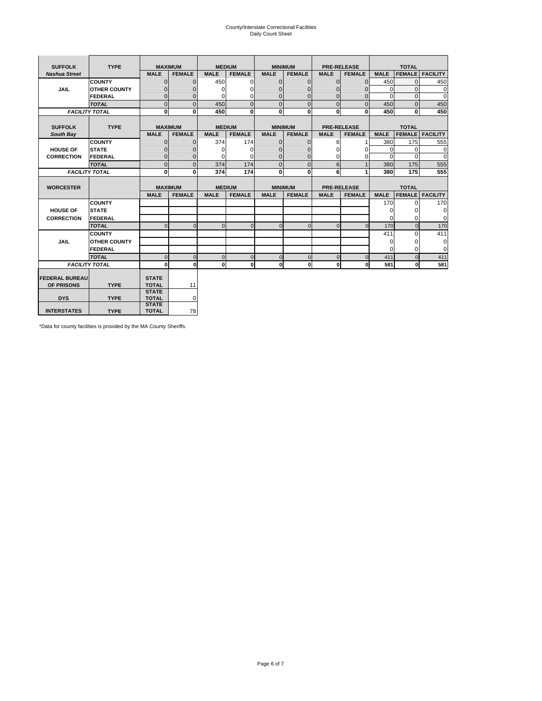# County/Interstate Correctional Facilities Daily Count Sheet

| <b>SUFFOLK</b>        | <b>TYPE</b>           |                              | <b>MAXIMUM</b> | <b>MEDIUM</b> |                |              | <b>MINIMUM</b> |                | <b>PRE-RELEASE</b> |             | <b>TOTAL</b>  |                 |
|-----------------------|-----------------------|------------------------------|----------------|---------------|----------------|--------------|----------------|----------------|--------------------|-------------|---------------|-----------------|
| <b>Nashua Street</b>  |                       | <b>MALE</b>                  | <b>FEMALE</b>  | <b>MALE</b>   | <b>FEMALE</b>  | <b>MALE</b>  | <b>FEMALE</b>  | <b>MALE</b>    | <b>FEMALE</b>      | <b>MALE</b> | <b>FEMALE</b> | <b>FACILITY</b> |
|                       | <b>COUNTY</b>         | $\Omega$                     | $\mathbf{0}$   | 450           | $\Omega$       | $\mathbf{0}$ | $\Omega$       | $\Omega$       | $\Omega$           | 450         | $\Omega$      | 450             |
| <b>JAIL</b>           | <b>OTHER COUNTY</b>   | $\Omega$                     | 0              | $\Omega$      | 0              | $\mathbf{0}$ | $\Omega$       | $\Omega$       | $\Omega$           | $\Omega$    | $\Omega$      | $\mathbf 0$     |
|                       | <b>FEDERAL</b>        | $\Omega$                     | $\Omega$       | 0             | $\Omega$       | $\mathbf{0}$ | $\Omega$       | $\Omega$       | $\Omega$           | $\Omega$    | $\Omega$      | $\Omega$        |
|                       | <b>TOTAL</b>          | $\Omega$                     | $\mathbf 0$    | 450           | $\overline{0}$ | $\mathbf{0}$ | $\mathbf 0$    | $\mathbf{0}$   | $\Omega$           | 450         | $\Omega$      | 450             |
|                       | <b>FACILITY TOTAL</b> | 0                            | 0              | 450           | $\bf{0}$       | $\mathbf{0}$ | 0              | $\mathbf{0}$   | 0                  | 450         | 0             | 450             |
|                       |                       |                              |                |               |                |              |                |                |                    |             |               |                 |
| <b>SUFFOLK</b>        | <b>TYPE</b>           |                              | <b>MAXIMUM</b> | <b>MEDIUM</b> |                |              | <b>MINIMUM</b> |                | <b>PRE-RELEASE</b> |             | <b>TOTAL</b>  |                 |
| South Bay             |                       | <b>MALE</b>                  | <b>FEMALE</b>  | <b>MALE</b>   | <b>FEMALE</b>  | <b>MALE</b>  | <b>FEMALE</b>  | <b>MALE</b>    | <b>FEMALE</b>      | <b>MALE</b> | <b>FEMALE</b> | <b>FACILITY</b> |
|                       | <b>COUNTY</b>         | $\Omega$                     | $\mathbf{0}$   | 374           | 174            | $\mathbf{0}$ | $\mathbf{0}$   | 6              |                    | 380         | 175           | 555             |
| <b>HOUSE OF</b>       | <b>STATE</b>          |                              | $\mathbf{0}$   | $\Omega$      | $\Omega$       | $\Omega$     | O              | $\Omega$       | $\Omega$           | $\Omega$    | $\Omega$      | 0               |
| <b>CORRECTION</b>     | <b>FEDERAL</b>        | $\Omega$                     | $\mathbf{0}$   | $\Omega$      | $\Omega$       | $\mathbf{0}$ | $\mathbf{0}$   | $\Omega$       | 0                  | $\Omega$    | $\Omega$      | $\Omega$        |
|                       | <b>TOTAL</b>          | $\Omega$                     | $\overline{0}$ | 374           | 174            | $\mathbf 0$  | $\mathbf{0}$   | 6              | $\mathbf{1}$       | 380         | 175           | 555             |
| <b>FACILITY TOTAL</b> |                       | 0                            | 0              | 374           | 174            | <sub>0</sub> | $\bf{0}$       | 6              | 1                  | 380         | 175           | 555             |
|                       |                       |                              |                |               |                |              |                |                |                    |             |               |                 |
| <b>WORCESTER</b>      |                       |                              | <b>MAXIMUM</b> | <b>MEDIUM</b> |                |              | <b>MINIMUM</b> |                | <b>PRE-RELEASE</b> |             | <b>TOTAL</b>  |                 |
|                       |                       | <b>MALE</b>                  | <b>FEMALE</b>  | <b>MALE</b>   | <b>FEMALE</b>  | <b>MALE</b>  | <b>FEMALE</b>  | <b>MALE</b>    | <b>FEMALE</b>      | <b>MALE</b> | <b>FEMALE</b> | <b>FACILITY</b> |
|                       | <b>COUNTY</b>         |                              |                |               |                |              |                |                |                    | 170         | $\Omega$      | 170             |
| <b>HOUSE OF</b>       | <b>STATE</b>          |                              |                |               |                |              |                |                |                    | $\Omega$    | 0             | 0               |
| <b>CORRECTION</b>     | <b>FEDERAL</b>        |                              |                |               |                |              |                |                |                    | $\Omega$    | $\Omega$      | $\Omega$        |
|                       | <b>TOTAL</b>          | U                            | $\Omega$       | $\Omega$      | $\mathbf 0$    | $\Omega$     | $\Omega$       | $\Omega$       | $\Omega$           | 170         | $\Omega$      | 170             |
|                       | <b>COUNTY</b>         |                              |                |               |                |              |                |                |                    | 411         | $\Omega$      | 411             |
| <b>JAIL</b>           | <b>OTHER COUNTY</b>   |                              |                |               |                |              |                |                |                    | 0           | 0             | 0               |
|                       | FEDERAL               |                              |                |               |                |              |                |                |                    | $\Omega$    | $\Omega$      | $\Omega$        |
|                       | <b>TOTAL</b>          | $\cap$                       | $\Omega$       | $\Omega$      | $\mathbf{0}$   | $\mathbf{0}$ | $\mathbf{0}$   | $\overline{0}$ | $\Omega$           | 411         | $\Omega$      | 411             |
| <b>FACILITY TOTAL</b> |                       | $\Omega$                     | $\mathbf 0$    | $\Omega$      | 0              | 0            | $\mathbf{0}$   | $\mathbf 0$    | 0                  | 581         | O             | 581             |
|                       |                       |                              |                |               |                |              |                |                |                    |             |               |                 |
| <b>FEDERAL BUREAU</b> |                       | <b>STATE</b>                 |                |               |                |              |                |                |                    |             |               |                 |
| OF PRISONS            | <b>TYPE</b>           | <b>TOTAL</b><br><b>STATE</b> | 11             |               |                |              |                |                |                    |             |               |                 |
| <b>DYS</b>            | <b>TYPE</b>           | <b>TOTAL</b>                 | 0              |               |                |              |                |                |                    |             |               |                 |
|                       |                       | <b>STATE</b>                 |                |               |                |              |                |                |                    |             |               |                 |
| <b>INTERSTATES</b>    | <b>TYPE</b>           | <b>TOTAL</b>                 | 78             |               |                |              |                |                |                    |             |               |                 |

\*Data for county facilities is provided by the MA County Sheriffs.